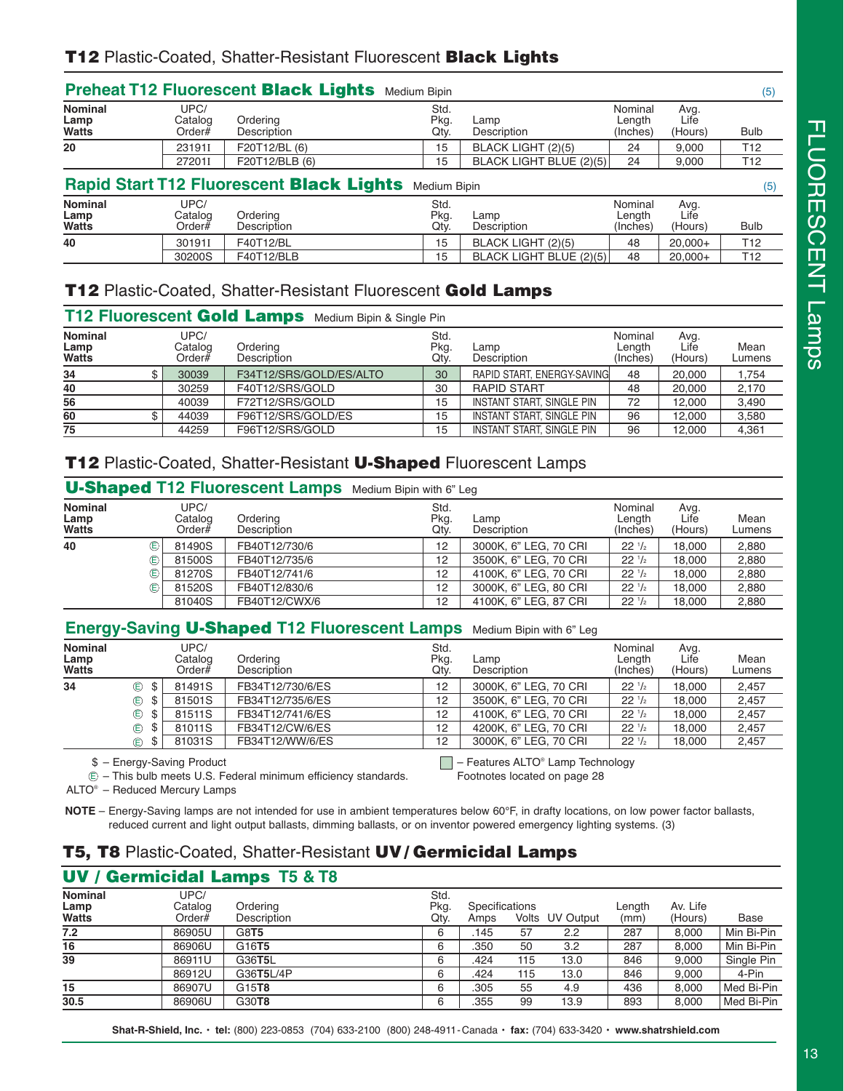|                                        |                              | <b>Preheat T12 Fluorescent Black Lights Medium Bipin</b> |                      |                         |                               |                         | (5)             |
|----------------------------------------|------------------------------|----------------------------------------------------------|----------------------|-------------------------|-------------------------------|-------------------------|-----------------|
| <b>Nominal</b><br>Lamp<br><b>Watts</b> | UPC/<br>Catalog<br>Order $#$ | Ordering<br>Description                                  | Std.<br>Pkg.<br>Qty. | Lamp<br>Description     | Nominal<br>Length<br>(Inches) | Avg.<br>Life<br>(Hours) | <b>Bulb</b>     |
| 20                                     | 231911                       | F20T12/BL (6)                                            | 15                   | BLACK LIGHT (2)(5)      | 24                            | 9.000                   | T <sub>12</sub> |
|                                        | 272011                       | F20T12/BLB (6)                                           | 15                   | BLACK LIGHT BLUE (2)(5) | 24                            | 9,000                   | T <sub>12</sub> |
|                                        |                              | <b>Rapid Start T12 Fluorescent Black Lights</b>          | <b>Medium Bipin</b>  |                         |                               |                         | (5)             |
| <b>Nominal</b><br>Lamp<br><b>Watts</b> | UPC/<br>Catalog<br>Order#    | Ordering<br>Description                                  | Std.<br>Pkg.<br>Qtv. | Lamp<br>Description     | Nominal<br>Length<br>(Inches) | Avg.<br>Life<br>(Hours) | <b>Bulb</b>     |
| 40                                     | 301911                       | F40T12/BL                                                | 15                   | BLACK LIGHT (2)(5)      | 48                            | $20,000+$               | T12             |
|                                        | 30200S                       | F40T12/BLB                                               | 15                   | BLACK LIGHT BLUE (2)(5) | 48                            | $20,000+$               | T12             |

# **T12** Plastic-Coated, Shatter-Resistant Fluorescent **Gold Lamps**

| T12 Fluorescent Gold Lamps Medium Bipin & Single Pin |  |                           |                         |                      |                                  |                               |                         |                |
|------------------------------------------------------|--|---------------------------|-------------------------|----------------------|----------------------------------|-------------------------------|-------------------------|----------------|
| <b>Nominal</b><br>Lamp<br><b>Watts</b>               |  | UPC/<br>Catalog<br>Order# | Ordering<br>Description | Std.<br>Pkg.<br>Qtv. | Lamp<br>Description              | Nominal<br>Length<br>(Inches) | Avg.<br>Life<br>(Hours) | Mean<br>Lumens |
| 34                                                   |  | 30039                     | F34T12/SRS/GOLD/ES/ALTO | 30                   | RAPID START, ENERGY-SAVING       | 48                            | 20,000                  | 1.754          |
| 40                                                   |  | 30259                     | F40T12/SRS/GOLD         | 30                   | <b>RAPID START</b>               | 48                            | 20,000                  | 2,170          |
| 56                                                   |  | 40039                     | F72T12/SRS/GOLD         | 15                   | INSTANT START, SINGLE PIN        | 72                            | 12,000                  | 3,490          |
| 60                                                   |  | 44039                     | F96T12/SRS/GOLD/ES      | 15                   | INSTANT START, SINGLE PIN        | 96                            | 12.000                  | 3,580          |
| 75                                                   |  | 44259                     | F96T12/SRS/GOLD         | 15                   | <b>INSTANT START, SINGLE PIN</b> | 96                            | 12.000                  | 4.361          |

# **T12** Plastic-Coated, Shatter-Resistant **U-Shaped** Fluorescent Lamps

|                                        | <b>U-Shaped T12 Fluorescent Lamps</b> Medium Bipin with 6" Leg |                         |                      |                       |                                |                         |                |
|----------------------------------------|----------------------------------------------------------------|-------------------------|----------------------|-----------------------|--------------------------------|-------------------------|----------------|
| <b>Nominal</b><br><b>Lamp</b><br>Watts | UPC/<br>Catalog<br>Order $#$                                   | Ordering<br>Description | Std.<br>Pkg.<br>Qtv. | Lamp<br>Description   | Nominal<br>Length<br>(Inches)  | Avg.<br>Life<br>(Hours) | Mean<br>Lumens |
| 40                                     | 81490S                                                         | FB40T12/730/6           | 12                   | 3000K, 6" LEG, 70 CRI | 22 <sup>1</sup> / <sub>2</sub> | 18,000                  | 2,880          |
|                                        | 81500S                                                         | FB40T12/735/6           | 12                   | 3500K, 6" LEG, 70 CRI | $22^{1/2}$                     | 18,000                  | 2,880          |
|                                        | 81270S                                                         | FB40T12/741/6           | 12                   | 4100K, 6" LEG, 70 CRI | $22 \frac{1}{2}$               | 18.000                  | 2.880          |
| ⋐                                      | 81520S                                                         | FB40T12/830/6           | 12                   | 3000K, 6" LEG, 80 CRI | 22 <sup>1</sup> / <sub>2</sub> | 18.000                  | 2.880          |
|                                        | 81040S                                                         | FB40T12/CWX/6           | 12                   | 4100K, 6" LEG, 87 CRI | $22 \frac{1}{2}$               | 18.000                  | 2.880          |

# **Energy-Saving U-Shaped T12 Fluorescent Lamps** Medium Bipin with 6" Leg

|           | UPC/<br>Catalog<br>Order# | Ordering<br>Description | Std.<br>Pkg.<br>Qtv. | Lamp<br>Description   | Nominal<br>Length<br>(Inches) | Avg.<br>Life<br>(Hours) | Mean<br>Lumens |
|-----------|---------------------------|-------------------------|----------------------|-----------------------|-------------------------------|-------------------------|----------------|
| ⋐<br>-\$  | 81491S                    | FB34T12/730/6/ES        | 12                   | 3000K, 6" LEG, 70 CRI | $22^{1/2}$                    | 18.000                  | 2.457          |
| ⋐<br>- \$ | 81501S                    | FB34T12/735/6/ES        | 12                   | 3500K, 6" LEG, 70 CRI | $22 \frac{1}{2}$              | 18,000                  | 2,457          |
| ⊕<br>-\$  | 81511S                    | FB34T12/741/6/ES        | 12                   | 4100K, 6" LEG, 70 CRI | $22 \frac{1}{2}$              | 18.000                  | 2,457          |
| ⋐<br>-\$  | 81011S                    | FB34T12/CW/6/ES         | 12                   | 4200K, 6" LEG, 70 CRI | $22^{1/2}$                    | 18.000                  | 2,457          |
| - \$<br>⋐ | 81031S                    | FB34T12/WW/6/ES         | 12                   | 3000K, 6" LEG, 70 CRI | $22 \frac{1}{2}$              | 18,000                  | 2,457          |
|           |                           |                         |                      |                       |                               |                         |                |

– Energy-Saving Product \$

 $\Box$  – Features ALTO® Lamp Technology

– This bulb meets U.S. Federal minimum efficiency standards. E

Footnotes located on page 28

ALTO® – Reduced Mercury Lamps

**NOTE** – Energy-Saving lamps are not intended for use in ambient temperatures below 60°F, in drafty locations, on low power factor ballasts, reduced current and light output ballasts, dimming ballasts, or on inventor powered emergency lighting systems. (3)

# **T5, T8** Plastic-Coated, Shatter-Resistant **UV / Germicidal Lamps**

# **UV / Germicidal Lamps T5 & T8**

| <b>Nominal</b><br><b>Lamp</b><br>Watts | UPC/<br>Catalog<br>Order $#$ | Ordering<br>Description | Std.<br>Pkg.<br>Qtv. | Specifications<br>Amps |     | Volts UV Output | Length<br>(mm) | Av. Life<br>(Hours) | Base       |
|----------------------------------------|------------------------------|-------------------------|----------------------|------------------------|-----|-----------------|----------------|---------------------|------------|
| 7.2                                    | 86905U                       | G8T5                    | 6                    | .145                   | 57  | 2.2             | 287            | 8.000               | Min Bi-Pin |
| 16                                     | 86906U                       | G16 <b>T5</b>           | 6                    | .350                   | 50  | 3.2             | 287            | 8.000               | Min Bi-Pin |
| 39                                     | 86911U                       | G36T5L                  | 6                    | .424                   | 115 | 13.0            | 846            | 9.000               | Single Pin |
|                                        | 86912U                       | G36T5L/4P               | 6                    | .424                   | 115 | 13.0            | 846            | 9,000               | 4-Pin      |
| 15                                     | 86907U                       | G15T8                   | 6                    | .305                   | 55  | 4.9             | 436            | 8.000               | Med Bi-Pin |
| 30.5                                   | 86906U                       | G30 <b>T8</b>           | 6                    | .355                   | 99  | 13.9            | 893            | 8.000               | Med Bi-Pin |

 $\mathbf T$  $\overline{\phantom{a}}$  $\subset$  $\mathbf{\bigcirc}$  $\overline{\mathbf{L}}$  $\overline{\mathbf{E}}$  $\mathcal O$  $\bigcirc$  $\overline{\mathbf{E}}$  $\overline{\mathbb{Z}}$  $\overline{\phantom{0}}$  $\overline{\phantom{a}}$ a  $\overline{\mathsf{B}}$  $\overline{\mathtt{C}}$ ഗ

**Shat-R-Shield, Inc.** • **tel:** (800) 223-0853 (704) 633-2100 (800) 248-4911-Canada • **fax:** (704) 633-3420 • **www.shatrshield.com**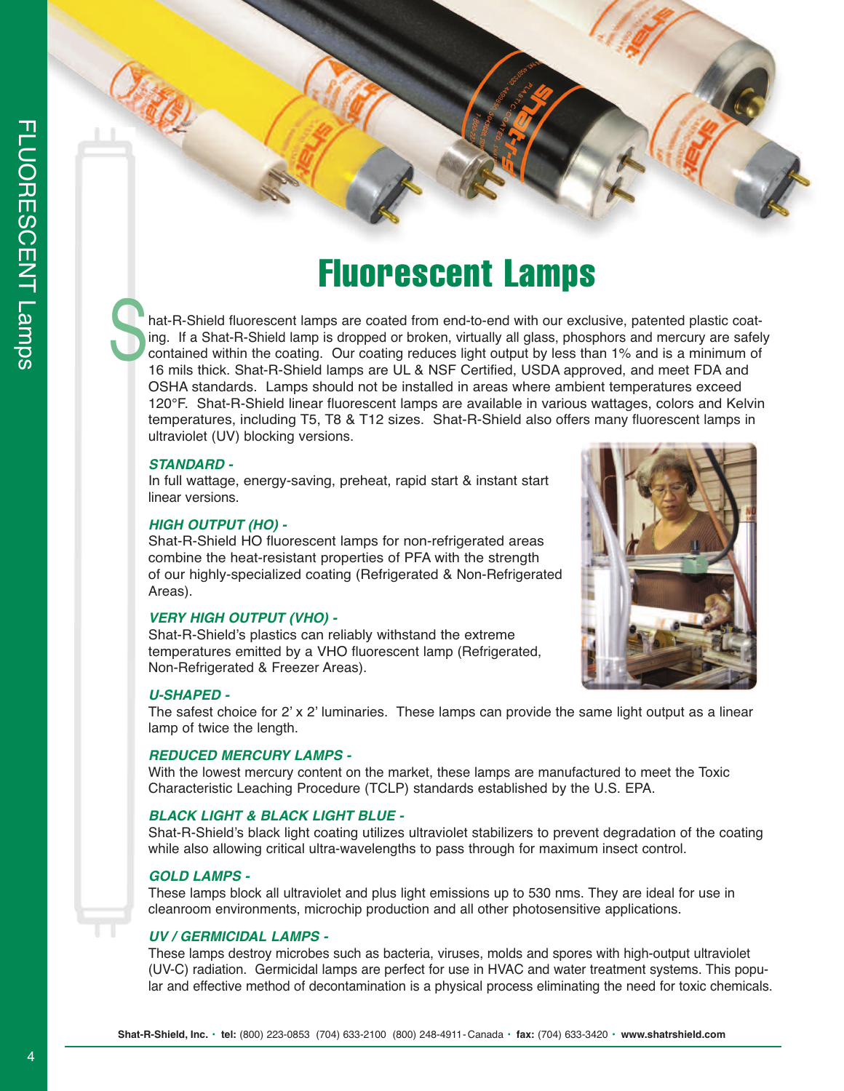hat-R-Shield fluorescent lamps are coated from end-to-end with our exclusive, patented plastic coating. If a Shat-R-Shield lamp is dropped or broken, virtually all glass, phosphors and mercury are safely contained within the coating. Our coating reduces light output by less than 1% and is a minimum of 16 mils thick. Shat-R-Shield lamps are UL & NSF Certified, USDA approved, and meet FDA and OSHA standards. Lamps should not be installed in areas where ambient temperatures exceed 120°F. Shat-R-Shield linear fluorescent lamps are available in various wattages, colors and Kelvin temperatures, including T5, T8 & T12 sizes. Shat-R-Shield also offers many fluorescent lamps in ultraviolet (UV) blocking versions. **S** 

## *STANDARD -*

In full wattage, energy-saving, preheat, rapid start & instant start linear versions.

## *HIGH OUTPUT (HO) -*

Shat-R-Shield HO fluorescent lamps for non-refrigerated areas combine the heat-resistant properties of PFA with the strength of our highly-specialized coating (Refrigerated & Non-Refrigerated Areas).

## *VERY HIGH OUTPUT (VHO) -*

Shat-R-Shield's plastics can reliably withstand the extreme temperatures emitted by a VHO fluorescent lamp (Refrigerated, Non-Refrigerated & Freezer Areas).

### *U-SHAPED -*

The safest choice for 2' x 2' luminaries. These lamps can provide the same light output as a linear lamp of twice the length.

## *REDUCED MERCURY LAMPS -*

With the lowest mercury content on the market, these lamps are manufactured to meet the Toxic Characteristic Leaching Procedure (TCLP) standards established by the U.S. EPA.

# *BLACK LIGHT & BLACK LIGHT BLUE -*

Shat-R-Shield's black light coating utilizes ultraviolet stabilizers to prevent degradation of the coating while also allowing critical ultra-wavelengths to pass through for maximum insect control.

#### *GOLD LAMPS -*

These lamps block all ultraviolet and plus light emissions up to 530 nms. They are ideal for use in cleanroom environments, microchip production and all other photosensitive applications.

## *UV / GERMICIDAL LAMPS -*

These lamps destroy microbes such as bacteria, viruses, molds and spores with high-output ultraviolet (UV-C) radiation. Germicidal lamps are perfect for use in HVAC and water treatment systems. This popular and effective method of decontamination is a physical process eliminating the need for toxic chemicals.



 $\mathbf T$  $\overline{\phantom{1}}$  $\overline{\subset}$  $\mathbf{\bigcirc}$  $\overline{\mathbf{u}}$  $\overline{\mathsf{m}}$  $\mathcal O$  $\bigcirc$  $\overline{\mathsf{m}}$  $\overline{\mathcal{Z}}$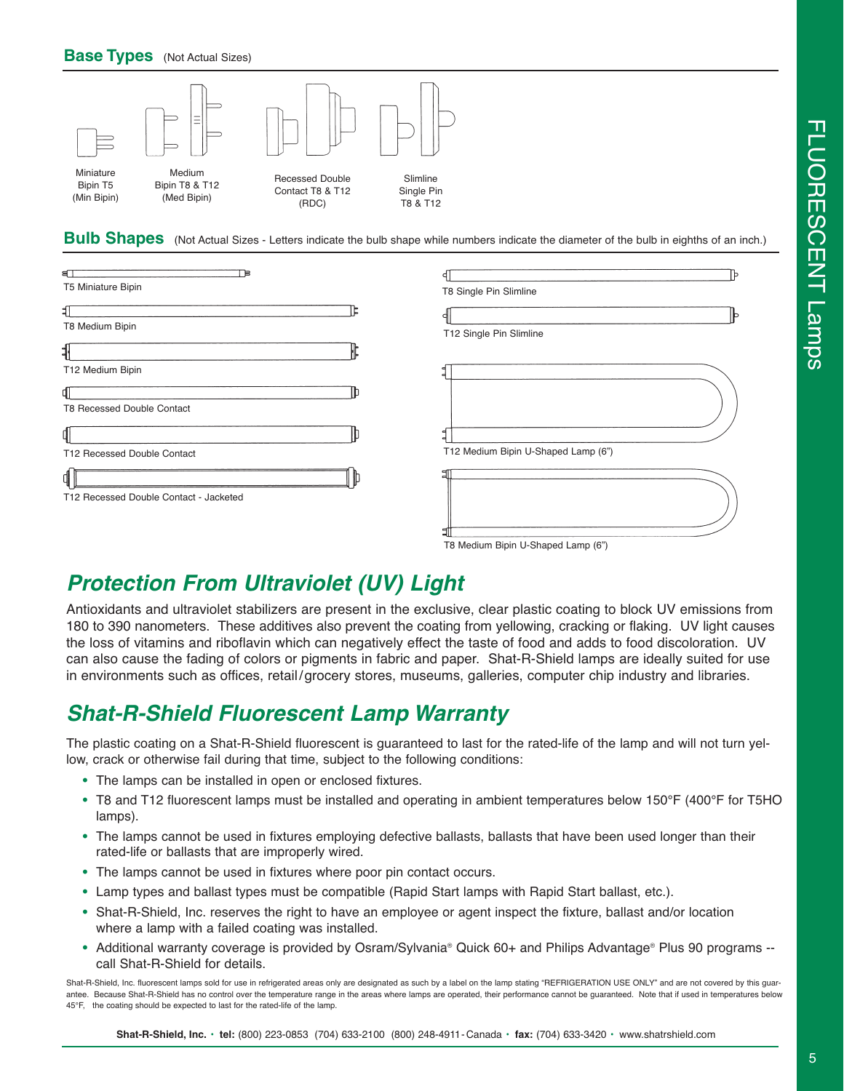

**Bulb Shapes** (Not Actual Sizes - Letters indicate the bulb shape while numbers indicate the diameter of the bulb in eighths of an inch.)

| aП                                     |                                     |
|----------------------------------------|-------------------------------------|
| T5 Miniature Bipin                     | T8 Single Pin Slimline              |
| Ⅎ<br>T8 Medium Bipin                   | IЬ                                  |
|                                        | T12 Single Pin Slimline             |
| T12 Medium Bipin                       |                                     |
| aı<br>T8 Recessed Double Contact       |                                     |
| dl                                     |                                     |
| T12 Recessed Double Contact            | T12 Medium Bipin U-Shaped Lamp (6") |
| ₫∏                                     |                                     |
| T12 Recessed Double Contact - Jacketed |                                     |
|                                        |                                     |

# *Protection From Ultraviolet (UV) Light*

Antioxidants and ultraviolet stabilizers are present in the exclusive, clear plastic coating to block UV emissions from 180 to 390 nanometers. These additives also prevent the coating from yellowing, cracking or flaking. UV light causes the loss of vitamins and riboflavin which can negatively effect the taste of food and adds to food discoloration. UV can also cause the fading of colors or pigments in fabric and paper. Shat-R-Shield lamps are ideally suited for use in environments such as offices, retail/grocery stores, museums, galleries, computer chip industry and libraries.

# *Shat-R-Shield Fluorescent Lamp Warranty*

The plastic coating on a Shat-R-Shield fluorescent is guaranteed to last for the rated-life of the lamp and will not turn yellow, crack or otherwise fail during that time, subject to the following conditions:

- **•** The lamps can be installed in open or enclosed fixtures.
- **•** T8 and T12 fluorescent lamps must be installed and operating in ambient temperatures below 150°F (400°F for T5HO lamps).
- **•** The lamps cannot be used in fixtures employing defective ballasts, ballasts that have been used longer than their rated-life or ballasts that are improperly wired.
- **•** The lamps cannot be used in fixtures where poor pin contact occurs.
- **•** Lamp types and ballast types must be compatible (Rapid Start lamps with Rapid Start ballast, etc.).
- **•** Shat-R-Shield, Inc. reserves the right to have an employee or agent inspect the fixture, ballast and/or location where a lamp with a failed coating was installed.
- **•** Additional warranty coverage is provided by Osram/Sylvania® Quick 60+ and Philips Advantage® Plus 90 programs call Shat-R-Shield for details.

Shat-R-Shield, Inc. fluorescent lamps sold for use in refrigerated areas only are designated as such by a label on the lamp stating "REFRIGERATION USE ONLY" and are not covered by this guarantee. Because Shat-R-Shield has no control over the temperature range in the areas where lamps are operated, their performance cannot be guaranteed. Note that if used in temperatures below 45°F, the coating should be expected to last for the rated-life of the lamp.

T8 Medium Bipin U-Shaped Lamp (6")